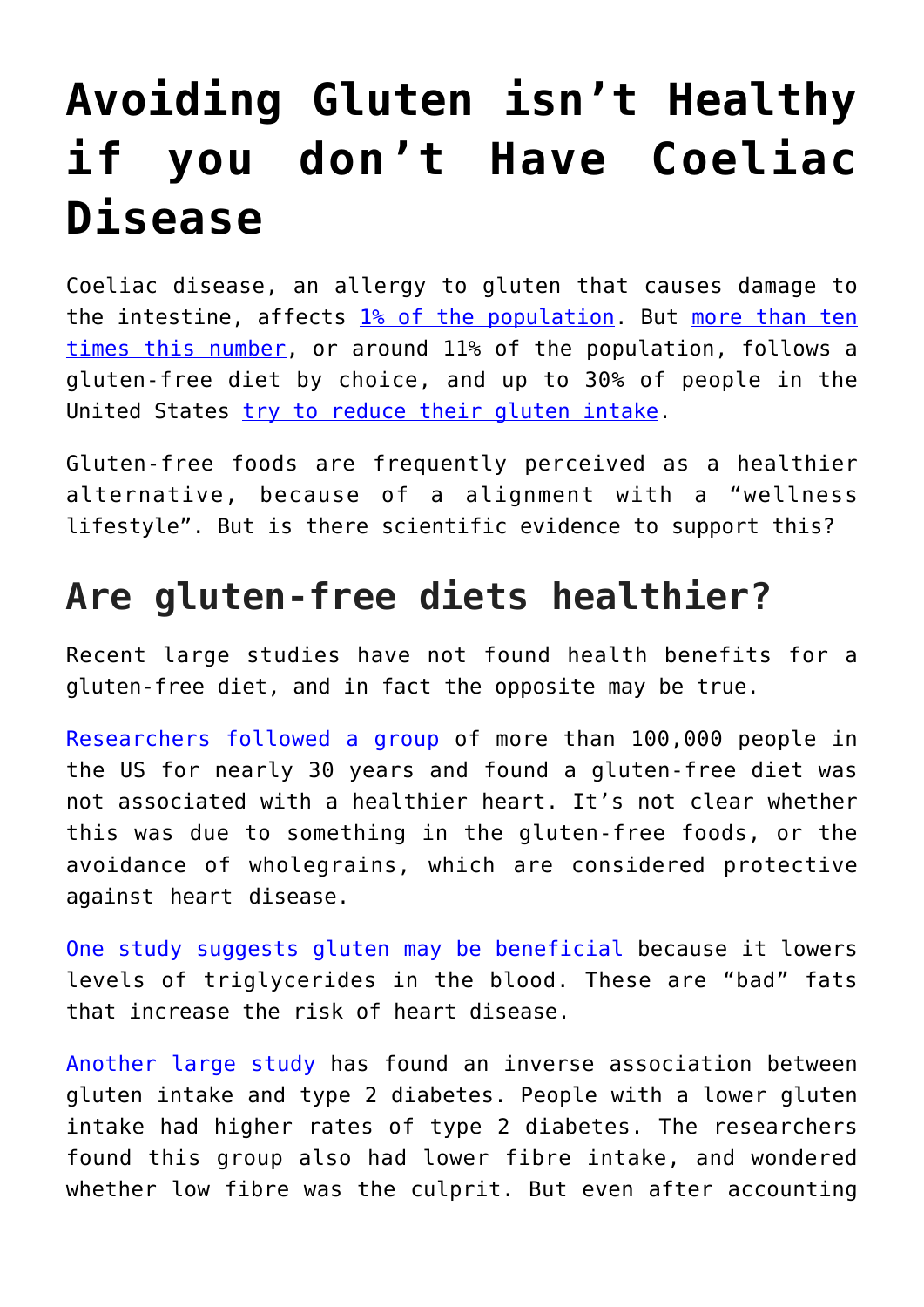# **[Avoiding Gluten isn't Healthy](https://intellectualtakeout.org/2018/01/avoiding-gluten-isnt-healthy-if-you-dont-have-coeliac-disease/) [if you don't Have Coeliac](https://intellectualtakeout.org/2018/01/avoiding-gluten-isnt-healthy-if-you-dont-have-coeliac-disease/) [Disease](https://intellectualtakeout.org/2018/01/avoiding-gluten-isnt-healthy-if-you-dont-have-coeliac-disease/)**

Coeliac disease, an allergy to gluten that causes damage to the intestine, affects [1% of the population](http://citeseerx.ist.psu.edu/viewdoc/download?doi=10.1.1.184.679&rep=rep1&type=pdf). But [more than ten](https://www.cambridge.org/core/journals/public-health-nutrition/article/motivations-for-avoiding-wheat-consumption-in-australia-results-from-a-population-survey/25FD610AA022221398C214691AB705DC) [times this number](https://www.cambridge.org/core/journals/public-health-nutrition/article/motivations-for-avoiding-wheat-consumption-in-australia-results-from-a-population-survey/25FD610AA022221398C214691AB705DC), or around 11% of the population, follows a gluten-free diet by choice, and up to 30% of people in the United States [try to reduce their gluten intake](https://www.npd.com/wps/portal/npd/us/news/press-releases/percentage-of-us-adults-trying-to-cut-down-or-avoid-gluten-in-their-diets-reaches-new-high-in-2013-reports-npd/).

Gluten-free foods are frequently perceived as a healthier alternative, because of a alignment with a "wellness lifestyle". But is there scientific evidence to support this?

## **Are gluten-free diets healthier?**

Recent large studies have not found health benefits for a gluten-free diet, and in fact the opposite may be true.

[Researchers followed a group](http://www.bmj.com/content/357/bmj.j1892) of more than 100,000 people in the US for nearly 30 years and found a gluten-free diet was not associated with a healthier heart. It's not clear whether this was due to something in the gluten-free foods, or the avoidance of wholegrains, which are considered protective against heart disease.

[One study suggests gluten may be beneficial](https://www.ncbi.nlm.nih.gov/pubmed/10204832) because it lowers levels of triglycerides in the blood. These are "bad" fats that increase the risk of heart disease.

[Another large study](http://circ.ahajournals.org/content/135/Suppl_1/A11) has found an inverse association between gluten intake and type 2 diabetes. People with a lower gluten intake had higher rates of type 2 diabetes. The researchers found this group also had lower fibre intake, and wondered whether low fibre was the culprit. But even after accounting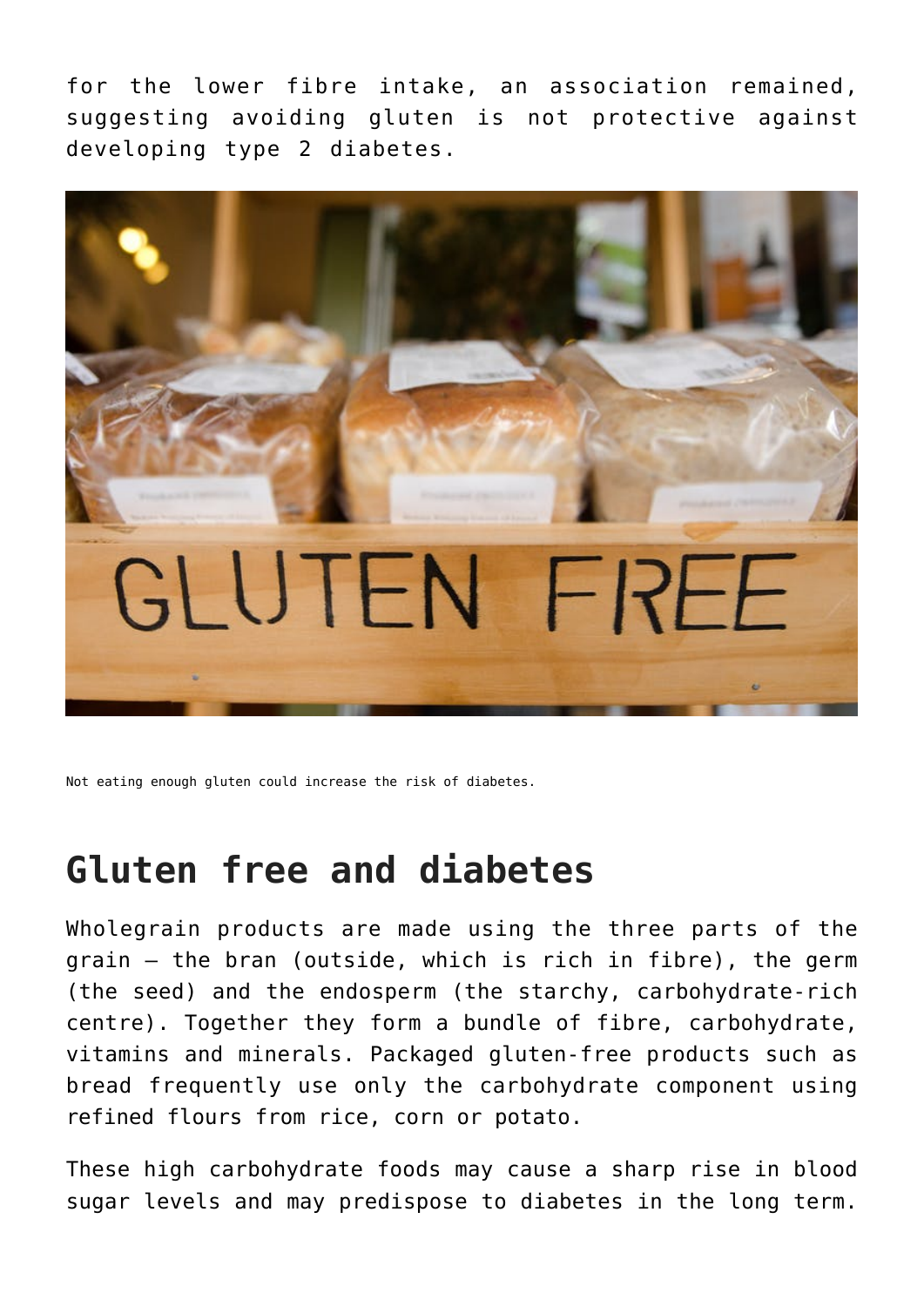for the lower fibre intake, an association remained, suggesting avoiding gluten is not protective against developing type 2 diabetes.



Not eating enough gluten could increase the risk of diabetes.

### **Gluten free and diabetes**

Wholegrain products are made using the three parts of the grain – the bran (outside, which is rich in fibre), the germ (the seed) and the endosperm (the starchy, carbohydrate-rich centre). Together they form a bundle of fibre, carbohydrate, vitamins and minerals. Packaged gluten-free products such as bread frequently use only the carbohydrate component using refined flours from rice, corn or potato.

These high carbohydrate foods may cause a sharp rise in blood sugar levels and may predispose to diabetes in the long term.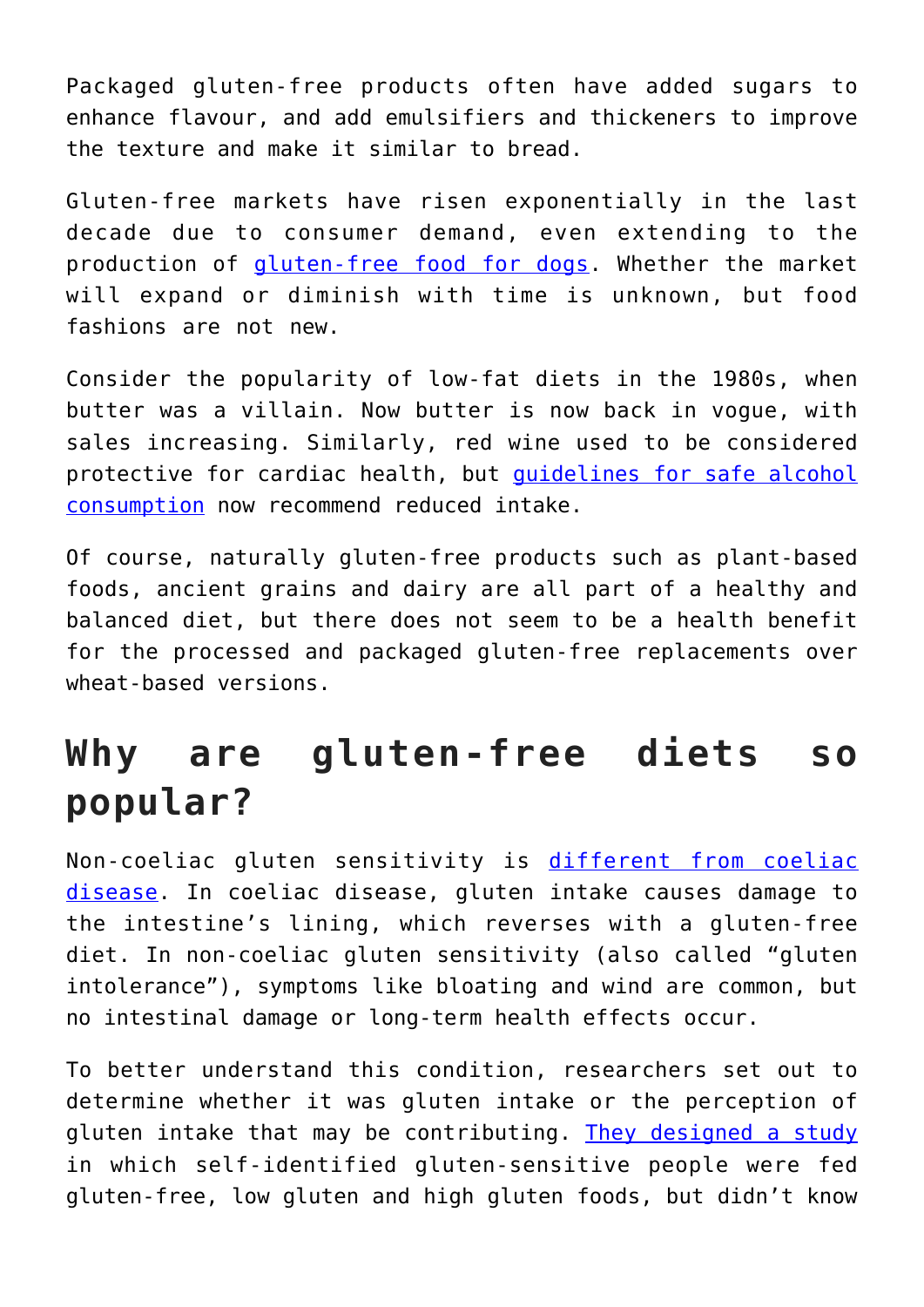Packaged gluten-free products often have added sugars to enhance flavour, and add emulsifiers and thickeners to improve the texture and make it similar to bread.

Gluten-free markets have risen exponentially in the last decade due to consumer demand, even extending to the production of [gluten-free food for dogs.](https://search.mypetwarehouse.com.au/mypetwarehouse/Gluten-Free-Dog-Food?gclid=EAIaIQobChMIgMaLnZaI2AIVwTUrCh2YKgjmEAAYAyAAEgLV1_D_BwE) Whether the market will expand or diminish with time is unknown, but food fashions are not new.

Consider the popularity of low-fat diets in the 1980s, when butter was a villain. Now butter is now back in vogue, with sales increasing. Similarly, red wine used to be considered protective for cardiac health, but [guidelines for safe alcohol](https://www.nhmrc.gov.au/health-topics/alcohol-guidelines) [consumption](https://www.nhmrc.gov.au/health-topics/alcohol-guidelines) now recommend reduced intake.

Of course, naturally gluten-free products such as plant-based foods, ancient grains and dairy are all part of a healthy and balanced diet, but there does not seem to be a health benefit for the processed and packaged gluten-free replacements over wheat-based versions.

## **Why are gluten-free diets so popular?**

Non-coeliac gluten sensitivity is [different from coeliac](https://www.coeliac.org.uk/coeliac-disease/about-coeliac-disease-and-dermatitis-herpetiformis/gluten-sensitivity/) [disease.](https://www.coeliac.org.uk/coeliac-disease/about-coeliac-disease-and-dermatitis-herpetiformis/gluten-sensitivity/) In coeliac disease, gluten intake causes damage to the intestine's lining, which reverses with a gluten-free diet. In non-coeliac gluten sensitivity (also called "gluten intolerance"), symptoms like bloating and wind are common, but no intestinal damage or long-term health effects occur.

To better understand this condition, researchers set out to determine whether it was gluten intake or the perception of gluten intake that may be contributing. [They designed a study](https://www.ncbi.nlm.nih.gov/pubmed/23648697) in which self-identified gluten-sensitive people were fed gluten-free, low gluten and high gluten foods, but didn't know